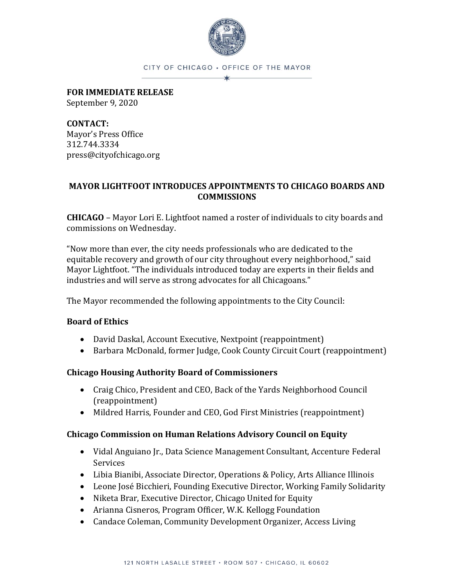

#### CITY OF CHICAGO . OFFICE OF THE MAYOR  $\star$

**FOR IMMEDIATE RELEASE** September 9, 2020

**CONTACT:**  Mayor's Press Office 312.744.3334 press@cityofchicago.org

# **MAYOR LIGHTFOOT INTRODUCES APPOINTMENTS TO CHICAGO BOARDS AND COMMISSIONS**

**CHICAGO** – Mayor Lori E. Lightfoot named a roster of individuals to city boards and commissions on Wednesday.

"Now more than ever, the city needs professionals who are dedicated to the equitable recovery and growth of our city throughout every neighborhood," said Mayor Lightfoot. "The individuals introduced today are experts in their fields and industries and will serve as strong advocates for all Chicagoans."

The Mayor recommended the following appointments to the City Council:

# **Board of Ethics**

- David Daskal, Account Executive, Nextpoint (reappointment)
- Barbara McDonald, former Judge, Cook County Circuit Court (reappointment)

# **Chicago Housing Authority Board of Commissioners**

- Craig Chico, President and CEO, Back of the Yards Neighborhood Council (reappointment)
- Mildred Harris, Founder and CEO, God First Ministries (reappointment)

# **Chicago Commission on Human Relations Advisory Council on Equity**

- Vidal Anguiano Jr., Data Science Management Consultant, Accenture Federal Services
- Libia Bianibi, Associate Director, Operations & Policy, Arts Alliance Illinois
- Leone José Bicchieri, Founding Executive Director, Working Family Solidarity
- Niketa Brar, Executive Director, Chicago United for Equity
- Arianna Cisneros, Program Officer, W.K. Kellogg Foundation
- Candace Coleman, Community Development Organizer, Access Living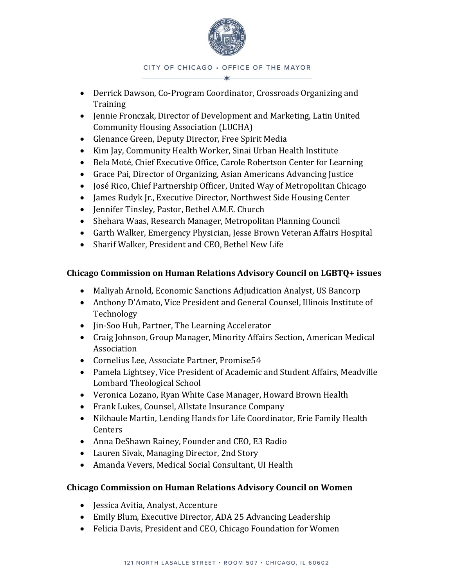

CITY OF CHICAGO . OFFICE OF THE MAYOR

- Derrick Dawson, Co-Program Coordinator, Crossroads Organizing and **Training**
- Jennie Fronczak, Director of Development and Marketing, Latin United Community Housing Association (LUCHA)
- Glenance Green, Deputy Director, Free Spirit Media
- Kim Jay, Community Health Worker, Sinai Urban Health Institute
- Bela Moté, Chief Executive Office, Carole Robertson Center for Learning
- Grace Pai, Director of Organizing, Asian Americans Advancing Justice
- José Rico, Chief Partnership Officer, United Way of Metropolitan Chicago
- James Rudyk Jr., Executive Director, Northwest Side Housing Center
- Jennifer Tinsley, Pastor, Bethel A.M.E. Church
- Shehara Waas, Research Manager, Metropolitan Planning Council
- Garth Walker, Emergency Physician, Jesse Brown Veteran Affairs Hospital
- Sharif Walker, President and CEO, Bethel New Life

# **Chicago Commission on Human Relations Advisory Council on LGBTQ+ issues**

- Maliyah Arnold, Economic Sanctions Adjudication Analyst, US Bancorp
- Anthony D'Amato, Vice President and General Counsel, Illinois Institute of Technology
- Jin-Soo Huh, Partner, The Learning Accelerator
- Craig Johnson, Group Manager, Minority Affairs Section, American Medical Association
- Cornelius Lee, Associate Partner, Promise54
- Pamela Lightsey, Vice President of Academic and Student Affairs, Meadville Lombard Theological School
- Veronica Lozano, Ryan White Case Manager, Howard Brown Health
- Frank Lukes, Counsel, Allstate Insurance Company
- Nikhaule Martin, Lending Hands for Life Coordinator, Erie Family Health Centers
- Anna DeShawn Rainey, Founder and CEO, E3 Radio
- Lauren Sivak, Managing Director, 2nd Story
- Amanda Vevers, Medical Social Consultant, UI Health

# **Chicago Commission on Human Relations Advisory Council on Women**

- Jessica Avitia, Analyst, Accenture
- Emily Blum, Executive Director, ADA 25 Advancing Leadership
- Felicia Davis, President and CEO, Chicago Foundation for Women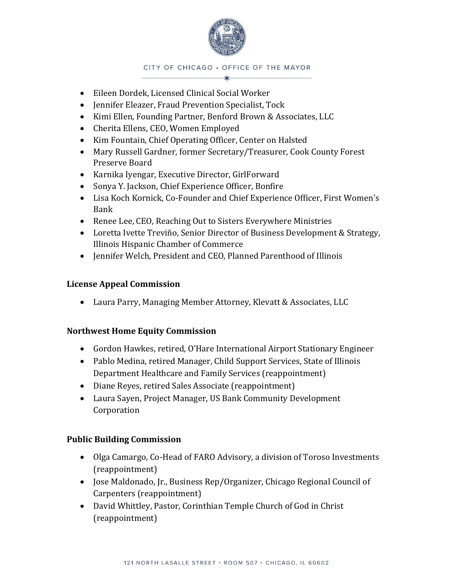

CITY OF CHICAGO . OFFICE OF THE MAYOR

- Eileen Dordek, Licensed Clinical Social Worker
- Jennifer Eleazer, Fraud Prevention Specialist, Tock
- Kimi Ellen, Founding Partner, Benford Brown & Associates, LLC
- Cherita Ellens, CEO, Women Employed
- Kim Fountain, Chief Operating Officer, Center on Halsted
- Mary Russell Gardner, former Secretary/Treasurer, Cook County Forest Preserve Board
- Karnika Iyengar, Executive Director, GirlForward
- Sonya Y. Jackson, Chief Experience Officer, Bonfire
- Lisa Koch Kornick, Co-Founder and Chief Experience Officer, First Women's Bank
- Renee Lee, CEO, Reaching Out to Sisters Everywhere Ministries
- Loretta Ivette Treviño, Senior Director of Business Development & Strategy, Illinois Hispanic Chamber of Commerce
- Jennifer Welch, President and CEO, Planned Parenthood of Illinois

#### **License Appeal Commission**

• Laura Parry, Managing Member Attorney, Klevatt & Associates, LLC

# **Northwest Home Equity Commission**

- Gordon Hawkes, retired, O'Hare International Airport Stationary Engineer
- Pablo Medina, retired Manager, Child Support Services, State of Illinois Department Healthcare and Family Services (reappointment)
- Diane Reyes, retired Sales Associate (reappointment)
- Laura Sayen, Project Manager, US Bank Community Development Corporation

# **Public Building Commission**

- Olga Camargo, Co-Head of FARO Advisory, a division of Toroso Investments (reappointment)
- Jose Maldonado, Jr., Business Rep/Organizer, Chicago Regional Council of Carpenters (reappointment)
- David Whittley, Pastor, Corinthian Temple Church of God in Christ (reappointment)